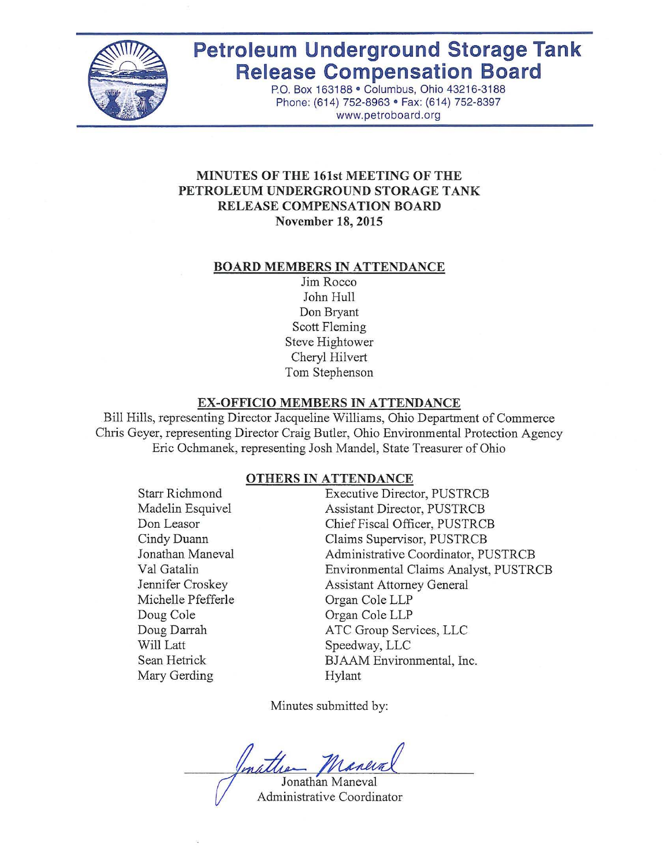

# **Petroleum Underground Storage Tank Release Compensation Board**

P.O. Box 163188· Columbus, Ohio 43216-3188 Phone: (614) 752-8963 · Fax: (614) 752-8397 www.petroboard.org

# **MINUTES OF THE 161st MEETING OF THE PETROLEUM UNDERGROUND STORAGE TANK RELEASE COMPENSATION BOARD November 18,2015**

#### **BOARD MEMBERS IN ATTENDANCE**

Jim Rocco John Hull Don Bryant Scott Fleming Steve Hightower Cheryl Hilvert Tom Stephenson

#### **EX-OFFICIO MEMBERS IN ATTENDANCE**

Bill Hills, representing Director Jacqueline Williams, Ohio Department of Commerce Chris Geyer, representing Director Craig Butler, Ohio Environmental Protection Agency Eric Ochmanek, representing Josh Mandel, State Treasurer of Ohio

#### **OTHERS IN ATTENDANCE**

Starr Richmond Madelin Esquivel Don Leasor Cindy Duann Jonathan Maneval Val Gatalin Jennifer Croskey Michelle Pfefferle Doug Cole Doug Darrah Will Latt Sean Hetrick Mary Gerding

Executive Director, PUSTRCB Assistant Director, PUSTRCB Chief Fiscal Officer, PUSTRCB Claims Supervisor, PUSTRCB Administrative Coordinator, PUSTRCB Environmental Claims Analyst, PUSTRCB Assistant Attorney General Organ Cole LLP Organ Cole LLP ATC Group Services, LLC Speedway, LLC BJAAM Environmental, Inc. Hylant

Minutes submitted by:

Jonathan Maneval

Administrative Coordinator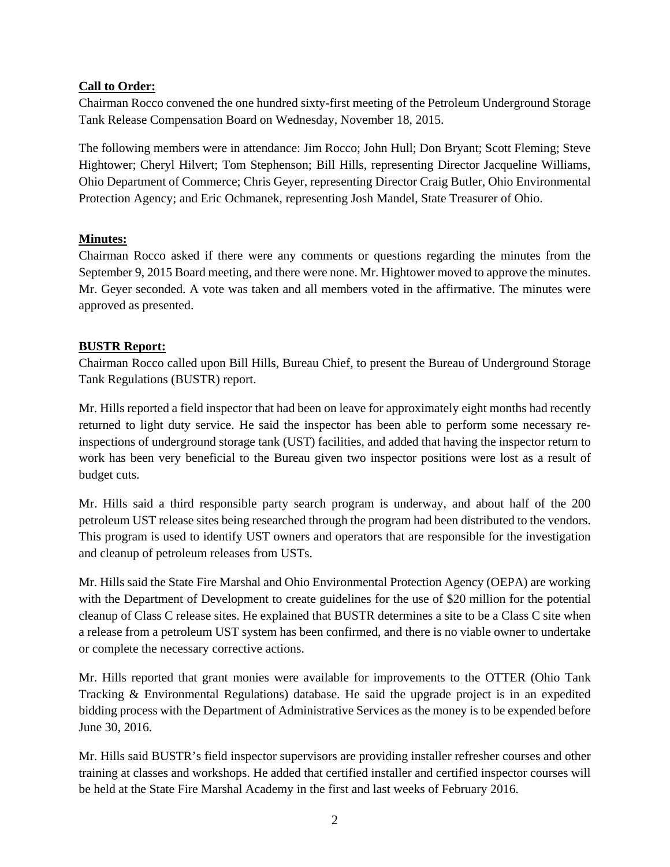# **Call to Order:**

Chairman Rocco convened the one hundred sixty-first meeting of the Petroleum Underground Storage Tank Release Compensation Board on Wednesday, November 18, 2015.

The following members were in attendance: Jim Rocco; John Hull; Don Bryant; Scott Fleming; Steve Hightower; Cheryl Hilvert; Tom Stephenson; Bill Hills, representing Director Jacqueline Williams, Ohio Department of Commerce; Chris Geyer, representing Director Craig Butler, Ohio Environmental Protection Agency; and Eric Ochmanek, representing Josh Mandel, State Treasurer of Ohio.

# **Minutes:**

Chairman Rocco asked if there were any comments or questions regarding the minutes from the September 9, 2015 Board meeting, and there were none. Mr. Hightower moved to approve the minutes. Mr. Geyer seconded. A vote was taken and all members voted in the affirmative. The minutes were approved as presented.

# **BUSTR Report:**

Chairman Rocco called upon Bill Hills, Bureau Chief, to present the Bureau of Underground Storage Tank Regulations (BUSTR) report.

Mr. Hills reported a field inspector that had been on leave for approximately eight months had recently returned to light duty service. He said the inspector has been able to perform some necessary reinspections of underground storage tank (UST) facilities, and added that having the inspector return to work has been very beneficial to the Bureau given two inspector positions were lost as a result of budget cuts.

Mr. Hills said a third responsible party search program is underway, and about half of the 200 petroleum UST release sites being researched through the program had been distributed to the vendors. This program is used to identify UST owners and operators that are responsible for the investigation and cleanup of petroleum releases from USTs.

Mr. Hills said the State Fire Marshal and Ohio Environmental Protection Agency (OEPA) are working with the Department of Development to create guidelines for the use of \$20 million for the potential cleanup of Class C release sites. He explained that BUSTR determines a site to be a Class C site when a release from a petroleum UST system has been confirmed, and there is no viable owner to undertake or complete the necessary corrective actions.

Mr. Hills reported that grant monies were available for improvements to the OTTER (Ohio Tank Tracking & Environmental Regulations) database. He said the upgrade project is in an expedited bidding process with the Department of Administrative Services as the money is to be expended before June 30, 2016.

Mr. Hills said BUSTR's field inspector supervisors are providing installer refresher courses and other training at classes and workshops. He added that certified installer and certified inspector courses will be held at the State Fire Marshal Academy in the first and last weeks of February 2016.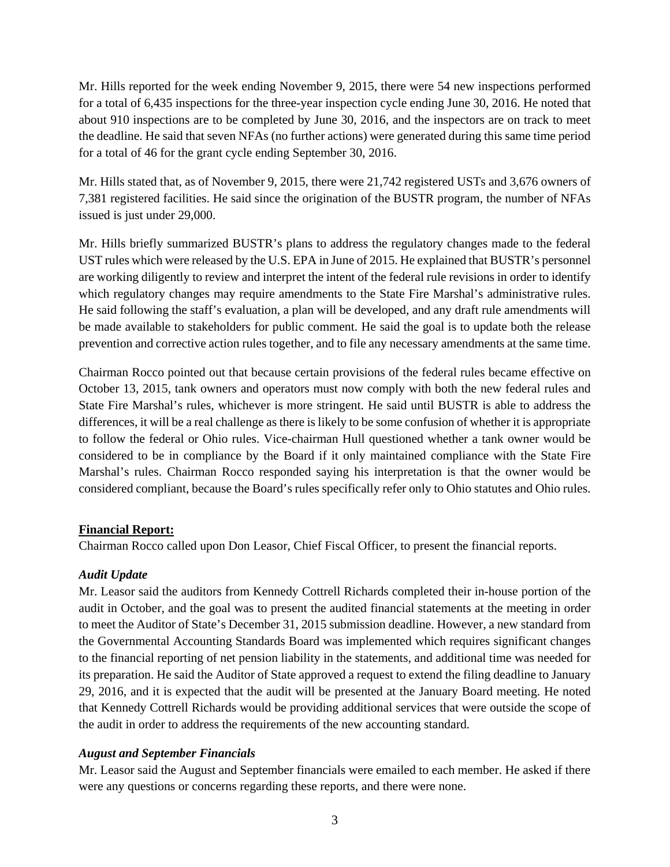Mr. Hills reported for the week ending November 9, 2015, there were 54 new inspections performed for a total of 6,435 inspections for the three-year inspection cycle ending June 30, 2016. He noted that about 910 inspections are to be completed by June 30, 2016, and the inspectors are on track to meet the deadline. He said that seven NFAs (no further actions) were generated during this same time period for a total of 46 for the grant cycle ending September 30, 2016.

Mr. Hills stated that, as of November 9, 2015, there were 21,742 registered USTs and 3,676 owners of 7,381 registered facilities. He said since the origination of the BUSTR program, the number of NFAs issued is just under 29,000.

Mr. Hills briefly summarized BUSTR's plans to address the regulatory changes made to the federal UST rules which were released by the U.S. EPA in June of 2015. He explained that BUSTR's personnel are working diligently to review and interpret the intent of the federal rule revisions in order to identify which regulatory changes may require amendments to the State Fire Marshal's administrative rules. He said following the staff's evaluation, a plan will be developed, and any draft rule amendments will be made available to stakeholders for public comment. He said the goal is to update both the release prevention and corrective action rules together, and to file any necessary amendments at the same time.

Chairman Rocco pointed out that because certain provisions of the federal rules became effective on October 13, 2015, tank owners and operators must now comply with both the new federal rules and State Fire Marshal's rules, whichever is more stringent. He said until BUSTR is able to address the differences, it will be a real challenge as there is likely to be some confusion of whether it is appropriate to follow the federal or Ohio rules. Vice-chairman Hull questioned whether a tank owner would be considered to be in compliance by the Board if it only maintained compliance with the State Fire Marshal's rules. Chairman Rocco responded saying his interpretation is that the owner would be considered compliant, because the Board's rules specifically refer only to Ohio statutes and Ohio rules.

# **Financial Report:**

Chairman Rocco called upon Don Leasor, Chief Fiscal Officer, to present the financial reports.

# *Audit Update*

Mr. Leasor said the auditors from Kennedy Cottrell Richards completed their in-house portion of the audit in October, and the goal was to present the audited financial statements at the meeting in order to meet the Auditor of State's December 31, 2015 submission deadline. However, a new standard from the Governmental Accounting Standards Board was implemented which requires significant changes to the financial reporting of net pension liability in the statements, and additional time was needed for its preparation. He said the Auditor of State approved a request to extend the filing deadline to January 29, 2016, and it is expected that the audit will be presented at the January Board meeting. He noted that Kennedy Cottrell Richards would be providing additional services that were outside the scope of the audit in order to address the requirements of the new accounting standard.

# *August and September Financials*

Mr. Leasor said the August and September financials were emailed to each member. He asked if there were any questions or concerns regarding these reports, and there were none.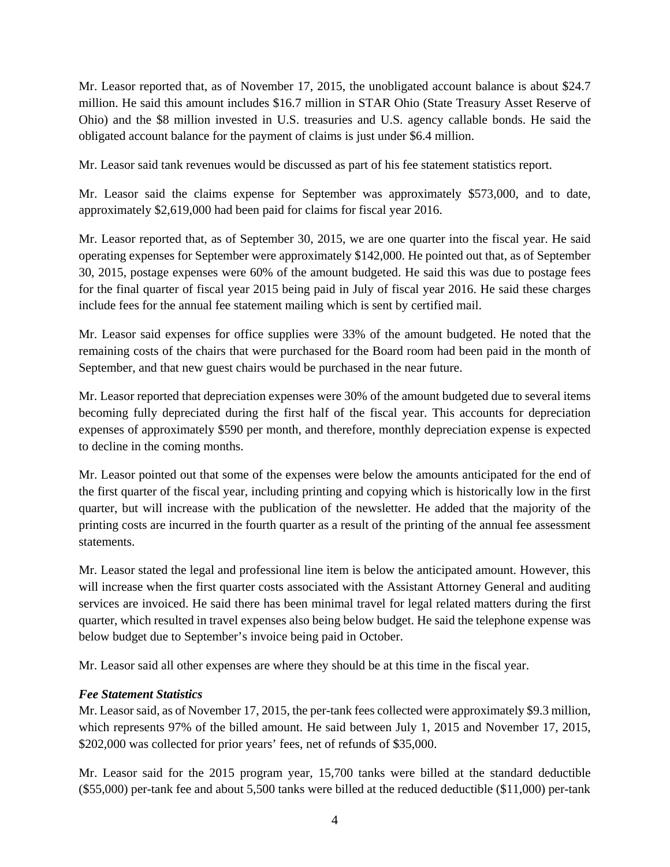Mr. Leasor reported that, as of November 17, 2015, the unobligated account balance is about \$24.7 million. He said this amount includes \$16.7 million in STAR Ohio (State Treasury Asset Reserve of Ohio) and the \$8 million invested in U.S. treasuries and U.S. agency callable bonds. He said the obligated account balance for the payment of claims is just under \$6.4 million.

Mr. Leasor said tank revenues would be discussed as part of his fee statement statistics report.

Mr. Leasor said the claims expense for September was approximately \$573,000, and to date, approximately \$2,619,000 had been paid for claims for fiscal year 2016.

Mr. Leasor reported that, as of September 30, 2015, we are one quarter into the fiscal year. He said operating expenses for September were approximately \$142,000. He pointed out that, as of September 30, 2015, postage expenses were 60% of the amount budgeted. He said this was due to postage fees for the final quarter of fiscal year 2015 being paid in July of fiscal year 2016. He said these charges include fees for the annual fee statement mailing which is sent by certified mail.

Mr. Leasor said expenses for office supplies were 33% of the amount budgeted. He noted that the remaining costs of the chairs that were purchased for the Board room had been paid in the month of September, and that new guest chairs would be purchased in the near future.

Mr. Leasor reported that depreciation expenses were 30% of the amount budgeted due to several items becoming fully depreciated during the first half of the fiscal year. This accounts for depreciation expenses of approximately \$590 per month, and therefore, monthly depreciation expense is expected to decline in the coming months.

Mr. Leasor pointed out that some of the expenses were below the amounts anticipated for the end of the first quarter of the fiscal year, including printing and copying which is historically low in the first quarter, but will increase with the publication of the newsletter. He added that the majority of the printing costs are incurred in the fourth quarter as a result of the printing of the annual fee assessment statements.

Mr. Leasor stated the legal and professional line item is below the anticipated amount. However, this will increase when the first quarter costs associated with the Assistant Attorney General and auditing services are invoiced. He said there has been minimal travel for legal related matters during the first quarter, which resulted in travel expenses also being below budget. He said the telephone expense was below budget due to September's invoice being paid in October.

Mr. Leasor said all other expenses are where they should be at this time in the fiscal year.

#### *Fee Statement Statistics*

Mr. Leasor said, as of November 17, 2015, the per-tank fees collected were approximately \$9.3 million, which represents 97% of the billed amount. He said between July 1, 2015 and November 17, 2015, \$202,000 was collected for prior years' fees, net of refunds of \$35,000.

Mr. Leasor said for the 2015 program year, 15,700 tanks were billed at the standard deductible (\$55,000) per-tank fee and about 5,500 tanks were billed at the reduced deductible (\$11,000) per-tank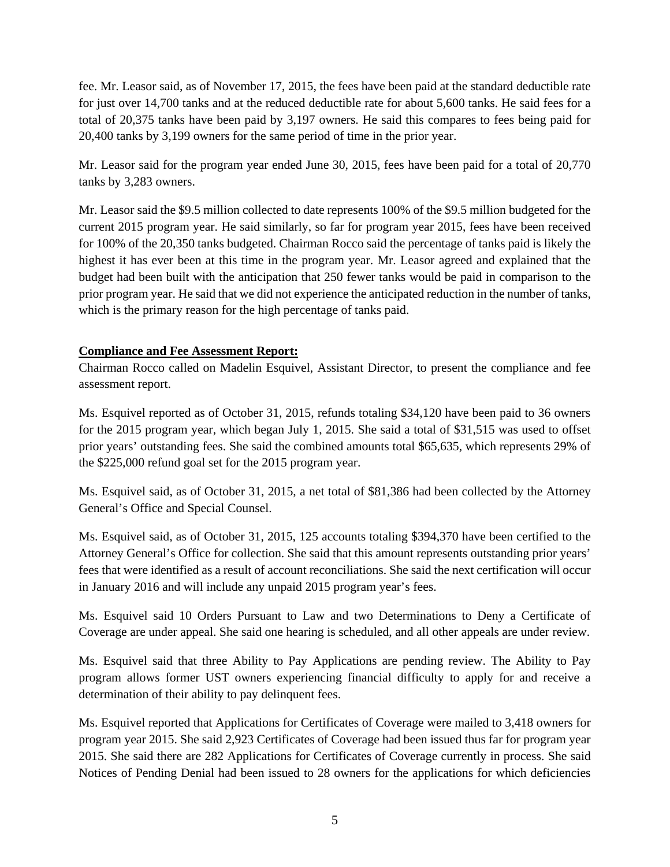fee. Mr. Leasor said, as of November 17, 2015, the fees have been paid at the standard deductible rate for just over 14,700 tanks and at the reduced deductible rate for about 5,600 tanks. He said fees for a total of 20,375 tanks have been paid by 3,197 owners. He said this compares to fees being paid for 20,400 tanks by 3,199 owners for the same period of time in the prior year.

Mr. Leasor said for the program year ended June 30, 2015, fees have been paid for a total of 20,770 tanks by 3,283 owners.

Mr. Leasor said the \$9.5 million collected to date represents 100% of the \$9.5 million budgeted for the current 2015 program year. He said similarly, so far for program year 2015, fees have been received for 100% of the 20,350 tanks budgeted. Chairman Rocco said the percentage of tanks paid is likely the highest it has ever been at this time in the program year. Mr. Leasor agreed and explained that the budget had been built with the anticipation that 250 fewer tanks would be paid in comparison to the prior program year. He said that we did not experience the anticipated reduction in the number of tanks, which is the primary reason for the high percentage of tanks paid.

# **Compliance and Fee Assessment Report:**

Chairman Rocco called on Madelin Esquivel, Assistant Director, to present the compliance and fee assessment report.

Ms. Esquivel reported as of October 31, 2015, refunds totaling \$34,120 have been paid to 36 owners for the 2015 program year, which began July 1, 2015. She said a total of \$31,515 was used to offset prior years' outstanding fees. She said the combined amounts total \$65,635, which represents 29% of the \$225,000 refund goal set for the 2015 program year.

Ms. Esquivel said, as of October 31, 2015, a net total of \$81,386 had been collected by the Attorney General's Office and Special Counsel.

Ms. Esquivel said, as of October 31, 2015, 125 accounts totaling \$394,370 have been certified to the Attorney General's Office for collection. She said that this amount represents outstanding prior years' fees that were identified as a result of account reconciliations. She said the next certification will occur in January 2016 and will include any unpaid 2015 program year's fees.

Ms. Esquivel said 10 Orders Pursuant to Law and two Determinations to Deny a Certificate of Coverage are under appeal. She said one hearing is scheduled, and all other appeals are under review.

Ms. Esquivel said that three Ability to Pay Applications are pending review. The Ability to Pay program allows former UST owners experiencing financial difficulty to apply for and receive a determination of their ability to pay delinquent fees.

Ms. Esquivel reported that Applications for Certificates of Coverage were mailed to 3,418 owners for program year 2015. She said 2,923 Certificates of Coverage had been issued thus far for program year 2015. She said there are 282 Applications for Certificates of Coverage currently in process. She said Notices of Pending Denial had been issued to 28 owners for the applications for which deficiencies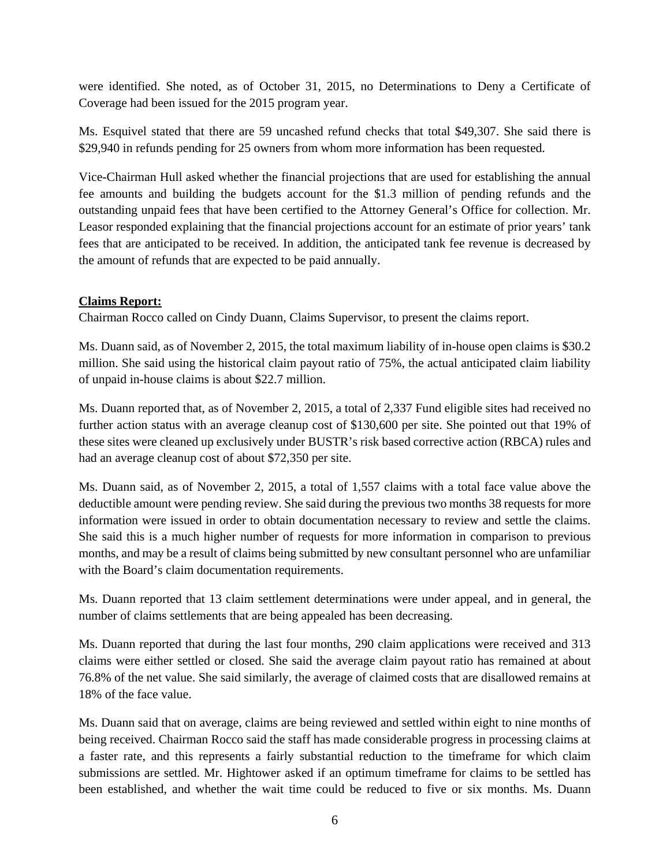were identified. She noted, as of October 31, 2015, no Determinations to Deny a Certificate of Coverage had been issued for the 2015 program year.

Ms. Esquivel stated that there are 59 uncashed refund checks that total \$49,307. She said there is \$29,940 in refunds pending for 25 owners from whom more information has been requested.

Vice-Chairman Hull asked whether the financial projections that are used for establishing the annual fee amounts and building the budgets account for the \$1.3 million of pending refunds and the outstanding unpaid fees that have been certified to the Attorney General's Office for collection. Mr. Leasor responded explaining that the financial projections account for an estimate of prior years' tank fees that are anticipated to be received. In addition, the anticipated tank fee revenue is decreased by the amount of refunds that are expected to be paid annually.

# **Claims Report:**

Chairman Rocco called on Cindy Duann, Claims Supervisor, to present the claims report.

Ms. Duann said, as of November 2, 2015, the total maximum liability of in-house open claims is \$30.2 million. She said using the historical claim payout ratio of 75%, the actual anticipated claim liability of unpaid in-house claims is about \$22.7 million.

Ms. Duann reported that, as of November 2, 2015, a total of 2,337 Fund eligible sites had received no further action status with an average cleanup cost of \$130,600 per site. She pointed out that 19% of these sites were cleaned up exclusively under BUSTR's risk based corrective action (RBCA) rules and had an average cleanup cost of about \$72,350 per site.

Ms. Duann said, as of November 2, 2015, a total of 1,557 claims with a total face value above the deductible amount were pending review. She said during the previous two months 38 requests for more information were issued in order to obtain documentation necessary to review and settle the claims. She said this is a much higher number of requests for more information in comparison to previous months, and may be a result of claims being submitted by new consultant personnel who are unfamiliar with the Board's claim documentation requirements.

Ms. Duann reported that 13 claim settlement determinations were under appeal, and in general, the number of claims settlements that are being appealed has been decreasing.

Ms. Duann reported that during the last four months, 290 claim applications were received and 313 claims were either settled or closed. She said the average claim payout ratio has remained at about 76.8% of the net value. She said similarly, the average of claimed costs that are disallowed remains at 18% of the face value.

Ms. Duann said that on average, claims are being reviewed and settled within eight to nine months of being received. Chairman Rocco said the staff has made considerable progress in processing claims at a faster rate, and this represents a fairly substantial reduction to the timeframe for which claim submissions are settled. Mr. Hightower asked if an optimum timeframe for claims to be settled has been established, and whether the wait time could be reduced to five or six months. Ms. Duann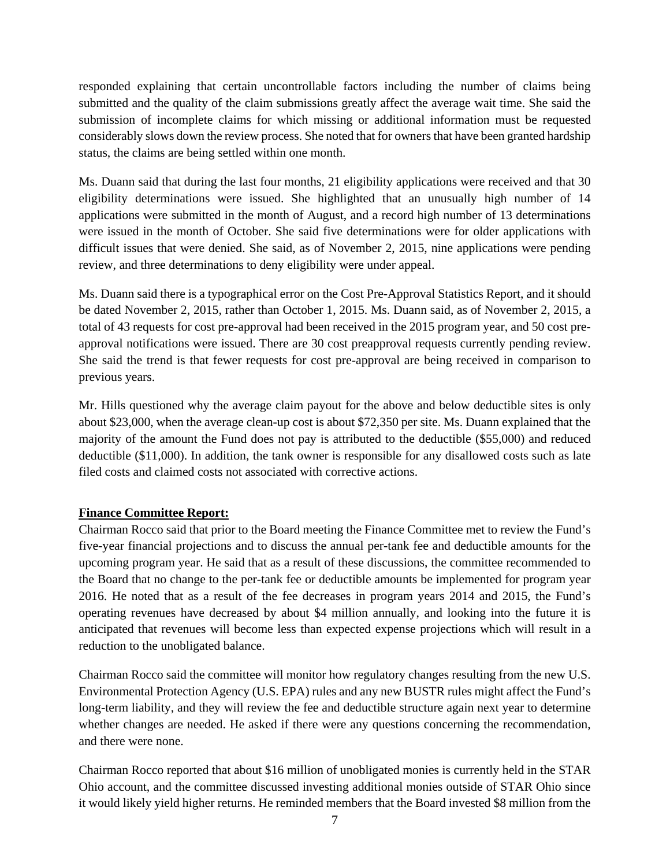responded explaining that certain uncontrollable factors including the number of claims being submitted and the quality of the claim submissions greatly affect the average wait time. She said the submission of incomplete claims for which missing or additional information must be requested considerably slows down the review process. She noted that for owners that have been granted hardship status, the claims are being settled within one month.

Ms. Duann said that during the last four months, 21 eligibility applications were received and that 30 eligibility determinations were issued. She highlighted that an unusually high number of 14 applications were submitted in the month of August, and a record high number of 13 determinations were issued in the month of October. She said five determinations were for older applications with difficult issues that were denied. She said, as of November 2, 2015, nine applications were pending review, and three determinations to deny eligibility were under appeal.

Ms. Duann said there is a typographical error on the Cost Pre-Approval Statistics Report, and it should be dated November 2, 2015, rather than October 1, 2015. Ms. Duann said, as of November 2, 2015, a total of 43 requests for cost pre-approval had been received in the 2015 program year, and 50 cost preapproval notifications were issued. There are 30 cost preapproval requests currently pending review. She said the trend is that fewer requests for cost pre-approval are being received in comparison to previous years.

Mr. Hills questioned why the average claim payout for the above and below deductible sites is only about \$23,000, when the average clean-up cost is about \$72,350 per site. Ms. Duann explained that the majority of the amount the Fund does not pay is attributed to the deductible (\$55,000) and reduced deductible (\$11,000). In addition, the tank owner is responsible for any disallowed costs such as late filed costs and claimed costs not associated with corrective actions.

#### **Finance Committee Report:**

Chairman Rocco said that prior to the Board meeting the Finance Committee met to review the Fund's five-year financial projections and to discuss the annual per-tank fee and deductible amounts for the upcoming program year. He said that as a result of these discussions, the committee recommended to the Board that no change to the per-tank fee or deductible amounts be implemented for program year 2016. He noted that as a result of the fee decreases in program years 2014 and 2015, the Fund's operating revenues have decreased by about \$4 million annually, and looking into the future it is anticipated that revenues will become less than expected expense projections which will result in a reduction to the unobligated balance.

Chairman Rocco said the committee will monitor how regulatory changes resulting from the new U.S. Environmental Protection Agency (U.S. EPA) rules and any new BUSTR rules might affect the Fund's long-term liability, and they will review the fee and deductible structure again next year to determine whether changes are needed. He asked if there were any questions concerning the recommendation, and there were none.

Chairman Rocco reported that about \$16 million of unobligated monies is currently held in the STAR Ohio account, and the committee discussed investing additional monies outside of STAR Ohio since it would likely yield higher returns. He reminded members that the Board invested \$8 million from the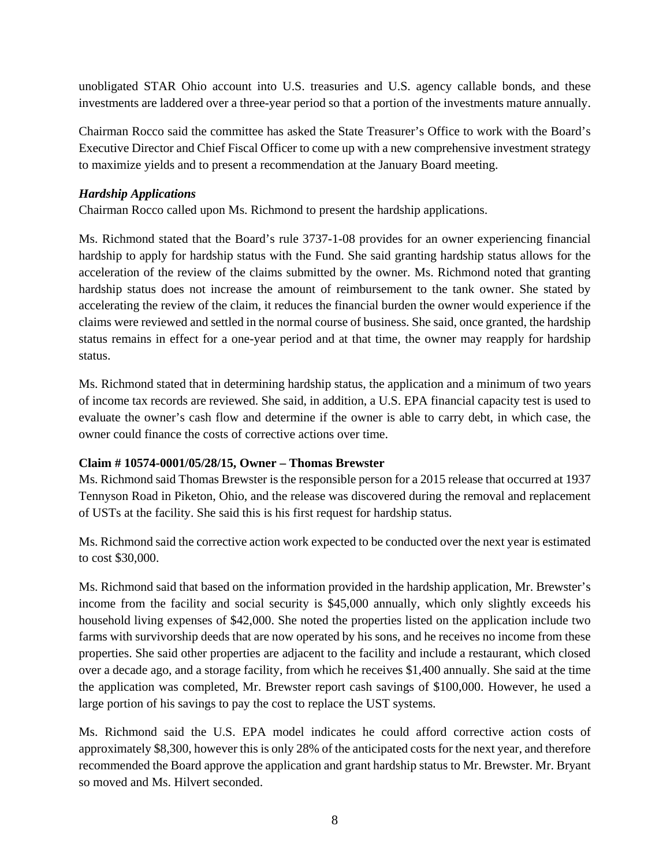unobligated STAR Ohio account into U.S. treasuries and U.S. agency callable bonds, and these investments are laddered over a three-year period so that a portion of the investments mature annually.

Chairman Rocco said the committee has asked the State Treasurer's Office to work with the Board's Executive Director and Chief Fiscal Officer to come up with a new comprehensive investment strategy to maximize yields and to present a recommendation at the January Board meeting.

#### *Hardship Applications*

Chairman Rocco called upon Ms. Richmond to present the hardship applications.

Ms. Richmond stated that the Board's rule 3737-1-08 provides for an owner experiencing financial hardship to apply for hardship status with the Fund. She said granting hardship status allows for the acceleration of the review of the claims submitted by the owner. Ms. Richmond noted that granting hardship status does not increase the amount of reimbursement to the tank owner. She stated by accelerating the review of the claim, it reduces the financial burden the owner would experience if the claims were reviewed and settled in the normal course of business. She said, once granted, the hardship status remains in effect for a one-year period and at that time, the owner may reapply for hardship status.

Ms. Richmond stated that in determining hardship status, the application and a minimum of two years of income tax records are reviewed. She said, in addition, a U.S. EPA financial capacity test is used to evaluate the owner's cash flow and determine if the owner is able to carry debt, in which case, the owner could finance the costs of corrective actions over time.

#### **Claim # 10574-0001/05/28/15, Owner – Thomas Brewster**

Ms. Richmond said Thomas Brewster is the responsible person for a 2015 release that occurred at 1937 Tennyson Road in Piketon, Ohio, and the release was discovered during the removal and replacement of USTs at the facility. She said this is his first request for hardship status.

Ms. Richmond said the corrective action work expected to be conducted over the next year is estimated to cost \$30,000.

Ms. Richmond said that based on the information provided in the hardship application, Mr. Brewster's income from the facility and social security is \$45,000 annually, which only slightly exceeds his household living expenses of \$42,000. She noted the properties listed on the application include two farms with survivorship deeds that are now operated by his sons, and he receives no income from these properties. She said other properties are adjacent to the facility and include a restaurant, which closed over a decade ago, and a storage facility, from which he receives \$1,400 annually. She said at the time the application was completed, Mr. Brewster report cash savings of \$100,000. However, he used a large portion of his savings to pay the cost to replace the UST systems.

Ms. Richmond said the U.S. EPA model indicates he could afford corrective action costs of approximately \$8,300, however this is only 28% of the anticipated costs for the next year, and therefore recommended the Board approve the application and grant hardship status to Mr. Brewster. Mr. Bryant so moved and Ms. Hilvert seconded.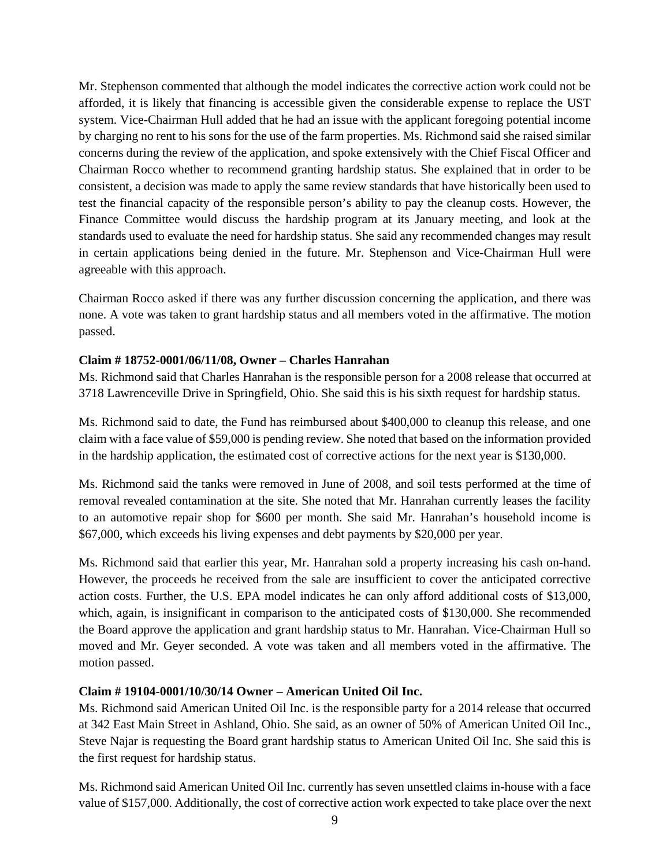Mr. Stephenson commented that although the model indicates the corrective action work could not be afforded, it is likely that financing is accessible given the considerable expense to replace the UST system. Vice-Chairman Hull added that he had an issue with the applicant foregoing potential income by charging no rent to his sons for the use of the farm properties. Ms. Richmond said she raised similar concerns during the review of the application, and spoke extensively with the Chief Fiscal Officer and Chairman Rocco whether to recommend granting hardship status. She explained that in order to be consistent, a decision was made to apply the same review standards that have historically been used to test the financial capacity of the responsible person's ability to pay the cleanup costs. However, the Finance Committee would discuss the hardship program at its January meeting, and look at the standards used to evaluate the need for hardship status. She said any recommended changes may result in certain applications being denied in the future. Mr. Stephenson and Vice-Chairman Hull were agreeable with this approach.

Chairman Rocco asked if there was any further discussion concerning the application, and there was none. A vote was taken to grant hardship status and all members voted in the affirmative. The motion passed.

# **Claim # 18752-0001/06/11/08, Owner – Charles Hanrahan**

Ms. Richmond said that Charles Hanrahan is the responsible person for a 2008 release that occurred at 3718 Lawrenceville Drive in Springfield, Ohio. She said this is his sixth request for hardship status.

Ms. Richmond said to date, the Fund has reimbursed about \$400,000 to cleanup this release, and one claim with a face value of \$59,000 is pending review. She noted that based on the information provided in the hardship application, the estimated cost of corrective actions for the next year is \$130,000.

Ms. Richmond said the tanks were removed in June of 2008, and soil tests performed at the time of removal revealed contamination at the site. She noted that Mr. Hanrahan currently leases the facility to an automotive repair shop for \$600 per month. She said Mr. Hanrahan's household income is \$67,000, which exceeds his living expenses and debt payments by \$20,000 per year.

Ms. Richmond said that earlier this year, Mr. Hanrahan sold a property increasing his cash on-hand. However, the proceeds he received from the sale are insufficient to cover the anticipated corrective action costs. Further, the U.S. EPA model indicates he can only afford additional costs of \$13,000, which, again, is insignificant in comparison to the anticipated costs of \$130,000. She recommended the Board approve the application and grant hardship status to Mr. Hanrahan. Vice-Chairman Hull so moved and Mr. Geyer seconded. A vote was taken and all members voted in the affirmative. The motion passed.

#### **Claim # 19104-0001/10/30/14 Owner – American United Oil Inc.**

Ms. Richmond said American United Oil Inc. is the responsible party for a 2014 release that occurred at 342 East Main Street in Ashland, Ohio. She said, as an owner of 50% of American United Oil Inc., Steve Najar is requesting the Board grant hardship status to American United Oil Inc. She said this is the first request for hardship status.

Ms. Richmond said American United Oil Inc. currently has seven unsettled claims in-house with a face value of \$157,000. Additionally, the cost of corrective action work expected to take place over the next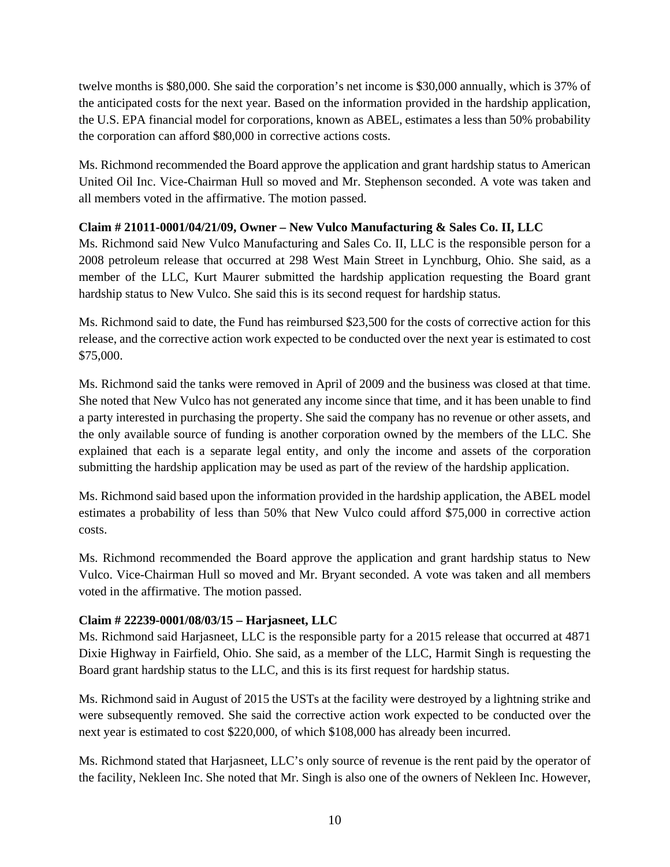twelve months is \$80,000. She said the corporation's net income is \$30,000 annually, which is 37% of the anticipated costs for the next year. Based on the information provided in the hardship application, the U.S. EPA financial model for corporations, known as ABEL, estimates a less than 50% probability the corporation can afford \$80,000 in corrective actions costs.

Ms. Richmond recommended the Board approve the application and grant hardship status to American United Oil Inc. Vice-Chairman Hull so moved and Mr. Stephenson seconded. A vote was taken and all members voted in the affirmative. The motion passed.

# **Claim # 21011-0001/04/21/09, Owner – New Vulco Manufacturing & Sales Co. II, LLC**

Ms. Richmond said New Vulco Manufacturing and Sales Co. II, LLC is the responsible person for a 2008 petroleum release that occurred at 298 West Main Street in Lynchburg, Ohio. She said, as a member of the LLC, Kurt Maurer submitted the hardship application requesting the Board grant hardship status to New Vulco. She said this is its second request for hardship status.

Ms. Richmond said to date, the Fund has reimbursed \$23,500 for the costs of corrective action for this release, and the corrective action work expected to be conducted over the next year is estimated to cost \$75,000.

Ms. Richmond said the tanks were removed in April of 2009 and the business was closed at that time. She noted that New Vulco has not generated any income since that time, and it has been unable to find a party interested in purchasing the property. She said the company has no revenue or other assets, and the only available source of funding is another corporation owned by the members of the LLC. She explained that each is a separate legal entity, and only the income and assets of the corporation submitting the hardship application may be used as part of the review of the hardship application.

Ms. Richmond said based upon the information provided in the hardship application, the ABEL model estimates a probability of less than 50% that New Vulco could afford \$75,000 in corrective action costs.

Ms. Richmond recommended the Board approve the application and grant hardship status to New Vulco. Vice-Chairman Hull so moved and Mr. Bryant seconded. A vote was taken and all members voted in the affirmative. The motion passed.

# **Claim # 22239-0001/08/03/15 – Harjasneet, LLC**

Ms. Richmond said Harjasneet, LLC is the responsible party for a 2015 release that occurred at 4871 Dixie Highway in Fairfield, Ohio. She said, as a member of the LLC, Harmit Singh is requesting the Board grant hardship status to the LLC, and this is its first request for hardship status.

Ms. Richmond said in August of 2015 the USTs at the facility were destroyed by a lightning strike and were subsequently removed. She said the corrective action work expected to be conducted over the next year is estimated to cost \$220,000, of which \$108,000 has already been incurred.

Ms. Richmond stated that Harjasneet, LLC's only source of revenue is the rent paid by the operator of the facility, Nekleen Inc. She noted that Mr. Singh is also one of the owners of Nekleen Inc. However,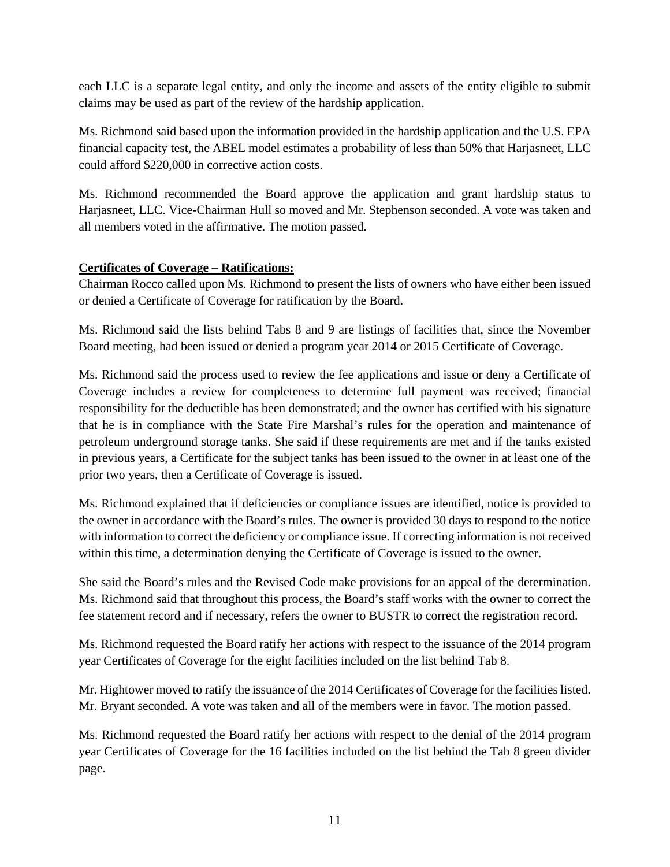each LLC is a separate legal entity, and only the income and assets of the entity eligible to submit claims may be used as part of the review of the hardship application.

Ms. Richmond said based upon the information provided in the hardship application and the U.S. EPA financial capacity test, the ABEL model estimates a probability of less than 50% that Harjasneet, LLC could afford \$220,000 in corrective action costs.

Ms. Richmond recommended the Board approve the application and grant hardship status to Harjasneet, LLC. Vice-Chairman Hull so moved and Mr. Stephenson seconded. A vote was taken and all members voted in the affirmative. The motion passed.

# **Certificates of Coverage – Ratifications:**

Chairman Rocco called upon Ms. Richmond to present the lists of owners who have either been issued or denied a Certificate of Coverage for ratification by the Board.

Ms. Richmond said the lists behind Tabs 8 and 9 are listings of facilities that, since the November Board meeting, had been issued or denied a program year 2014 or 2015 Certificate of Coverage.

Ms. Richmond said the process used to review the fee applications and issue or deny a Certificate of Coverage includes a review for completeness to determine full payment was received; financial responsibility for the deductible has been demonstrated; and the owner has certified with his signature that he is in compliance with the State Fire Marshal's rules for the operation and maintenance of petroleum underground storage tanks. She said if these requirements are met and if the tanks existed in previous years, a Certificate for the subject tanks has been issued to the owner in at least one of the prior two years, then a Certificate of Coverage is issued.

Ms. Richmond explained that if deficiencies or compliance issues are identified, notice is provided to the owner in accordance with the Board's rules. The owner is provided 30 days to respond to the notice with information to correct the deficiency or compliance issue. If correcting information is not received within this time, a determination denying the Certificate of Coverage is issued to the owner.

She said the Board's rules and the Revised Code make provisions for an appeal of the determination. Ms. Richmond said that throughout this process, the Board's staff works with the owner to correct the fee statement record and if necessary, refers the owner to BUSTR to correct the registration record.

Ms. Richmond requested the Board ratify her actions with respect to the issuance of the 2014 program year Certificates of Coverage for the eight facilities included on the list behind Tab 8.

Mr. Hightower moved to ratify the issuance of the 2014 Certificates of Coverage for the facilities listed. Mr. Bryant seconded. A vote was taken and all of the members were in favor. The motion passed.

Ms. Richmond requested the Board ratify her actions with respect to the denial of the 2014 program year Certificates of Coverage for the 16 facilities included on the list behind the Tab 8 green divider page.